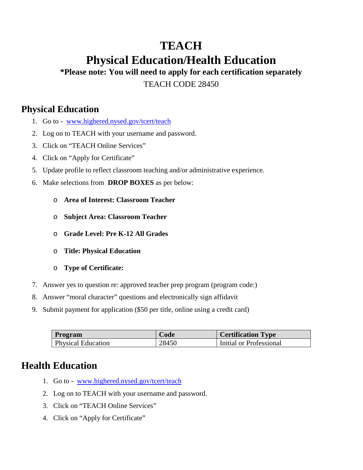## **TEACH Physical Education/Health Education**

**\*Please note: You will need to apply for each certification separately** TEACH CODE 28450

## **Physical Education**

- 1. Go to [www.highered.nysed.gov/tcert/teach](http://www.highered.nysed.gov/tcert/teach)
- 2. Log on to TEACH with your username and password.
- 3. Click on "TEACH Online Services"
- 4. Click on "Apply for Certificate"
- 5. Update profile to reflect classroom teaching and/or administrative experience.
- 6. Make selections from **DROP BOXES** as per below:
	- o **Area of Interest: Classroom Teacher**
	- o **Subject Area: Classroom Teacher**
	- o **Grade Level: Pre K-12 All Grades**
	- o **Title: Physical Education**
	- o **Type of Certificate:**
- 7. Answer yes to question re: approved teacher prep program (program code:)
- 8. Answer "moral character" questions and electronically sign affidavit
- 9. Submit payment for application (\$50 per title, online using a credit card)

| <b>Program</b>            | Code  | <b>Certification Type</b> |
|---------------------------|-------|---------------------------|
| <b>Physical Education</b> | 28450 | Initial or Professional   |

## **Health Education**

- 1. Go to [www.highered.nysed.gov/tcert/teach](http://www.highered.nysed.gov/tcert/teach)
- 2. Log on to TEACH with your username and password.
- 3. Click on "TEACH Online Services"
- 4. Click on "Apply for Certificate"